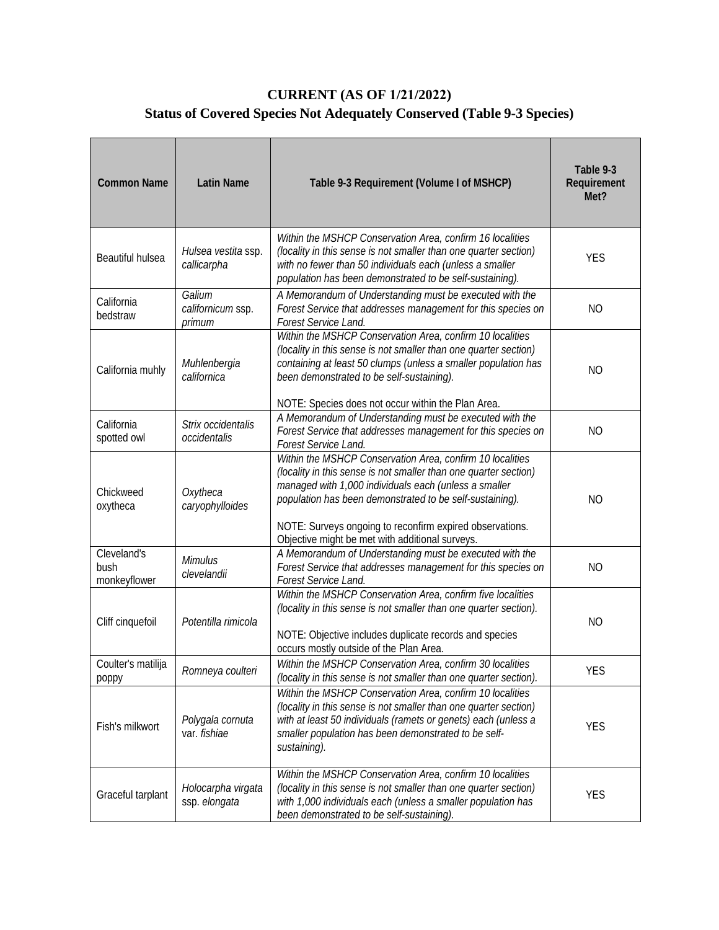## **CURRENT (AS OF 1/21/2022) Status of Covered Species Not Adequately Conserved (Table 9-3 Species)**

| <b>Common Name</b>                  | <b>Latin Name</b>                     | Table 9-3 Requirement (Volume I of MSHCP)                                                                                                                                                                                                                                                                                                                         | Table 9-3<br>Requirement<br>Met? |
|-------------------------------------|---------------------------------------|-------------------------------------------------------------------------------------------------------------------------------------------------------------------------------------------------------------------------------------------------------------------------------------------------------------------------------------------------------------------|----------------------------------|
| Beautiful hulsea                    | Hulsea vestita ssp.<br>callicarpha    | Within the MSHCP Conservation Area, confirm 16 localities<br>(locality in this sense is not smaller than one quarter section)<br>with no fewer than 50 individuals each (unless a smaller<br>population has been demonstrated to be self-sustaining).                                                                                                             | <b>YES</b>                       |
| California<br>bedstraw              | Galium<br>californicum ssp.<br>primum | A Memorandum of Understanding must be executed with the<br>Forest Service that addresses management for this species on<br><b>Forest Service Land.</b>                                                                                                                                                                                                            | <b>NO</b>                        |
| California muhly                    | Muhlenbergia<br>californica           | Within the MSHCP Conservation Area, confirm 10 localities<br>(locality in this sense is not smaller than one quarter section)<br>containing at least 50 clumps (unless a smaller population has<br>been demonstrated to be self-sustaining).<br>NOTE: Species does not occur within the Plan Area.                                                                | <b>NO</b>                        |
| California<br>spotted owl           | Strix occidentalis<br>occidentalis    | A Memorandum of Understanding must be executed with the<br>Forest Service that addresses management for this species on<br>Forest Service Land.                                                                                                                                                                                                                   | N <sub>O</sub>                   |
| Chickweed<br>oxytheca               | Oxytheca<br>caryophylloides           | Within the MSHCP Conservation Area, confirm 10 localities<br>(locality in this sense is not smaller than one quarter section)<br>managed with 1,000 individuals each (unless a smaller<br>population has been demonstrated to be self-sustaining).<br>NOTE: Surveys ongoing to reconfirm expired observations.<br>Objective might be met with additional surveys. | <b>NO</b>                        |
| Cleveland's<br>bush<br>monkeyflower | <b>Mimulus</b><br>clevelandii         | A Memorandum of Understanding must be executed with the<br>Forest Service that addresses management for this species on<br>Forest Service Land.                                                                                                                                                                                                                   | <b>NO</b>                        |
| Cliff cinquefoil                    | Potentilla rimicola                   | Within the MSHCP Conservation Area, confirm five localities<br>(locality in this sense is not smaller than one quarter section).<br>NOTE: Objective includes duplicate records and species<br>occurs mostly outside of the Plan Area.                                                                                                                             | <b>NO</b>                        |
| Coulter's matilija<br>poppy         | Romneya coulteri                      | Within the MSHCP Conservation Area, confirm 30 localities<br>(locality in this sense is not smaller than one quarter section).                                                                                                                                                                                                                                    | YES                              |
| Fish's milkwort                     | Polygala cornuta<br>var. fishiae      | Within the MSHCP Conservation Area, confirm 10 localities<br>(locality in this sense is not smaller than one quarter section)<br>with at least 50 individuals (ramets or genets) each (unless a<br>smaller population has been demonstrated to be self-<br>sustaining).                                                                                           | <b>YES</b>                       |
| Graceful tarplant                   | Holocarpha virgata<br>ssp. elongata   | Within the MSHCP Conservation Area, confirm 10 localities<br>(locality in this sense is not smaller than one quarter section)<br>with 1,000 individuals each (unless a smaller population has<br>been demonstrated to be self-sustaining).                                                                                                                        | <b>YES</b>                       |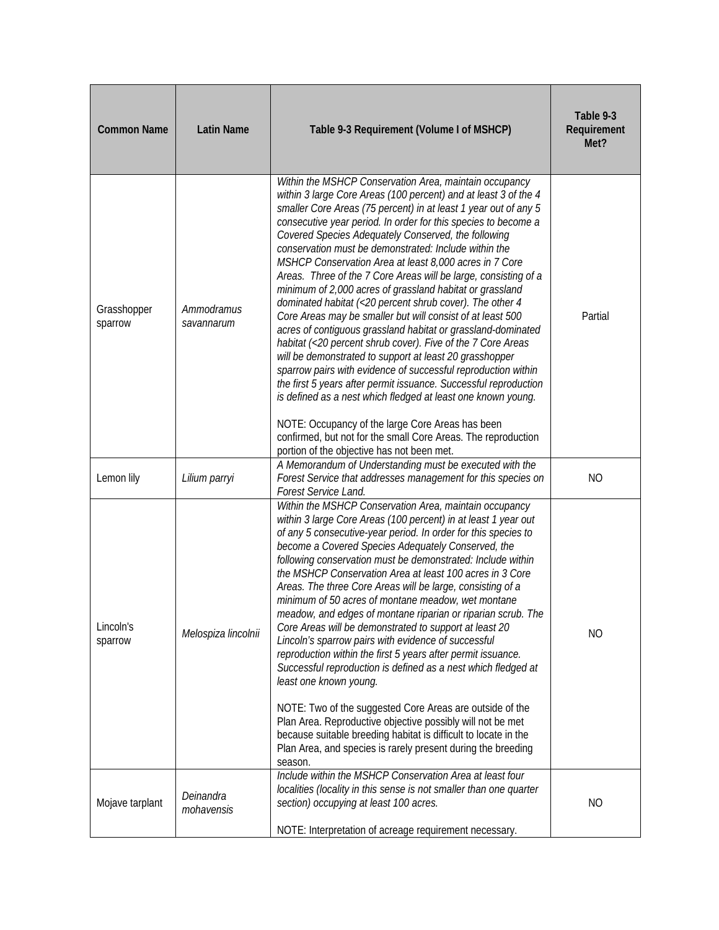| <b>Common Name</b>     | <b>Latin Name</b>        | Table 9-3 Requirement (Volume I of MSHCP)                                                                                                                                                                                                                                                                                                                                                                                                                                                                                                                                                                                                                                                                                                                                                                                                                                                                                                                                                                                                                                                                                                                                                                                                                           | Table 9-3<br>Requirement<br>Met? |
|------------------------|--------------------------|---------------------------------------------------------------------------------------------------------------------------------------------------------------------------------------------------------------------------------------------------------------------------------------------------------------------------------------------------------------------------------------------------------------------------------------------------------------------------------------------------------------------------------------------------------------------------------------------------------------------------------------------------------------------------------------------------------------------------------------------------------------------------------------------------------------------------------------------------------------------------------------------------------------------------------------------------------------------------------------------------------------------------------------------------------------------------------------------------------------------------------------------------------------------------------------------------------------------------------------------------------------------|----------------------------------|
| Grasshopper<br>sparrow | Ammodramus<br>savannarum | Within the MSHCP Conservation Area, maintain occupancy<br>within 3 large Core Areas (100 percent) and at least 3 of the 4<br>smaller Core Areas (75 percent) in at least 1 year out of any 5<br>consecutive year period. In order for this species to become a<br>Covered Species Adequately Conserved, the following<br>conservation must be demonstrated: Include within the<br>MSHCP Conservation Area at least 8,000 acres in 7 Core<br>Areas. Three of the 7 Core Areas will be large, consisting of a<br>minimum of 2,000 acres of grassland habitat or grassland<br>dominated habitat (<20 percent shrub cover). The other 4<br>Core Areas may be smaller but will consist of at least 500<br>acres of contiguous grassland habitat or grassland-dominated<br>habitat (<20 percent shrub cover). Five of the 7 Core Areas<br>will be demonstrated to support at least 20 grasshopper<br>sparrow pairs with evidence of successful reproduction within<br>the first 5 years after permit issuance. Successful reproduction<br>is defined as a nest which fledged at least one known young.<br>NOTE: Occupancy of the large Core Areas has been<br>confirmed, but not for the small Core Areas. The reproduction<br>portion of the objective has not been met. | Partial                          |
| Lemon lily             | Lilium parryi            | A Memorandum of Understanding must be executed with the<br>Forest Service that addresses management for this species on<br>Forest Service Land.                                                                                                                                                                                                                                                                                                                                                                                                                                                                                                                                                                                                                                                                                                                                                                                                                                                                                                                                                                                                                                                                                                                     | N <sub>O</sub>                   |
| Lincoln's<br>sparrow   | Melospiza lincolnii      | Within the MSHCP Conservation Area, maintain occupancy<br>within 3 large Core Areas (100 percent) in at least 1 year out<br>of any 5 consecutive-year period. In order for this species to<br>become a Covered Species Adequately Conserved, the<br>following conservation must be demonstrated: Include within<br>the MSHCP Conservation Area at least 100 acres in 3 Core<br>Areas. The three Core Areas will be large, consisting of a<br>minimum of 50 acres of montane meadow, wet montane<br>meadow, and edges of montane riparian or riparian scrub. The<br>Core Areas will be demonstrated to support at least 20<br>Lincoln's sparrow pairs with evidence of successful<br>reproduction within the first 5 years after permit issuance.<br>Successful reproduction is defined as a nest which fledged at<br>least one known young.<br>NOTE: Two of the suggested Core Areas are outside of the<br>Plan Area. Reproductive objective possibly will not be met<br>because suitable breeding habitat is difficult to locate in the<br>Plan Area, and species is rarely present during the breeding<br>season.                                                                                                                                                 | N <sub>O</sub>                   |
| Mojave tarplant        | Deinandra<br>mohavensis  | Include within the MSHCP Conservation Area at least four<br>localities (locality in this sense is not smaller than one quarter<br>section) occupying at least 100 acres.<br>NOTE: Interpretation of acreage requirement necessary.                                                                                                                                                                                                                                                                                                                                                                                                                                                                                                                                                                                                                                                                                                                                                                                                                                                                                                                                                                                                                                  | <b>NO</b>                        |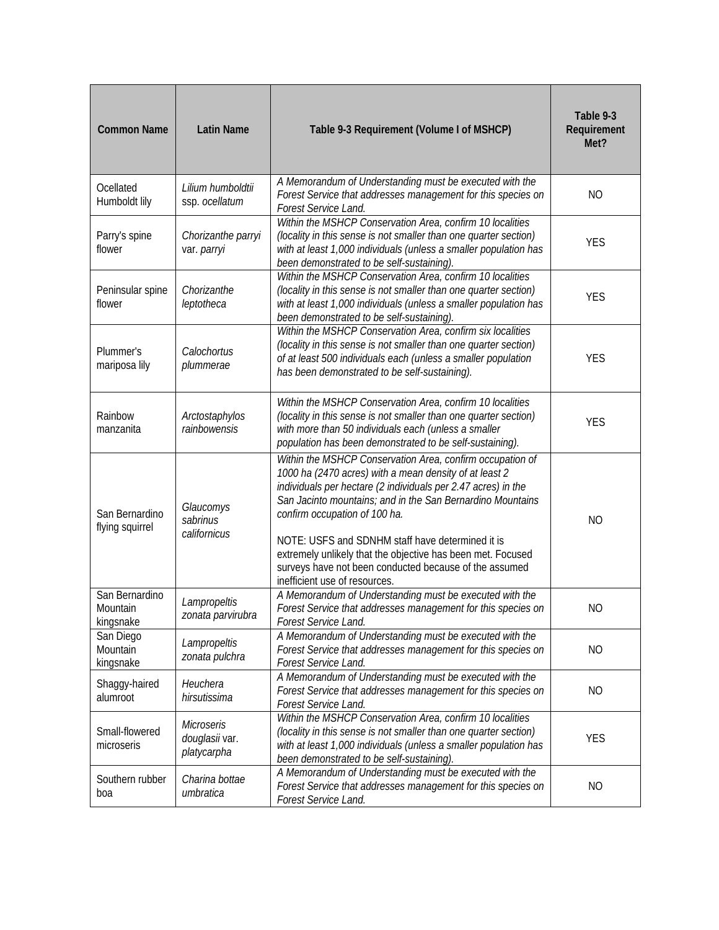| <b>Common Name</b>                      | <b>Latin Name</b>                                  | Table 9-3 Requirement (Volume I of MSHCP)                                                                                                                                                                                                                                                                                                                                                                                                                                                         | Table 9-3<br>Requirement<br>Met? |
|-----------------------------------------|----------------------------------------------------|---------------------------------------------------------------------------------------------------------------------------------------------------------------------------------------------------------------------------------------------------------------------------------------------------------------------------------------------------------------------------------------------------------------------------------------------------------------------------------------------------|----------------------------------|
| Ocellated<br>Humboldt lily              | Lilium humboldtii<br>ssp. ocellatum                | A Memorandum of Understanding must be executed with the<br>Forest Service that addresses management for this species on<br>Forest Service Land.                                                                                                                                                                                                                                                                                                                                                   | <b>NO</b>                        |
| Parry's spine<br>flower                 | Chorizanthe parryi<br>var. parryi                  | Within the MSHCP Conservation Area, confirm 10 localities<br>(locality in this sense is not smaller than one quarter section)<br>with at least 1,000 individuals (unless a smaller population has<br>been demonstrated to be self-sustaining).                                                                                                                                                                                                                                                    | <b>YES</b>                       |
| Peninsular spine<br>flower              | Chorizanthe<br>leptotheca                          | Within the MSHCP Conservation Area, confirm 10 localities<br>(locality in this sense is not smaller than one quarter section)<br>with at least 1,000 individuals (unless a smaller population has<br>been demonstrated to be self-sustaining).                                                                                                                                                                                                                                                    | <b>YES</b>                       |
| Plummer's<br>mariposa lily              | Calochortus<br>plummerae                           | Within the MSHCP Conservation Area, confirm six localities<br>(locality in this sense is not smaller than one quarter section)<br>of at least 500 individuals each (unless a smaller population<br>has been demonstrated to be self-sustaining).                                                                                                                                                                                                                                                  | <b>YES</b>                       |
| Rainbow<br>manzanita                    | Arctostaphylos<br>rainbowensis                     | Within the MSHCP Conservation Area, confirm 10 localities<br>(locality in this sense is not smaller than one quarter section)<br>with more than 50 individuals each (unless a smaller<br>population has been demonstrated to be self-sustaining).                                                                                                                                                                                                                                                 | <b>YES</b>                       |
| San Bernardino<br>flying squirrel       | Glaucomys<br>sabrinus<br>californicus              | Within the MSHCP Conservation Area, confirm occupation of<br>1000 ha (2470 acres) with a mean density of at least 2<br>individuals per hectare (2 individuals per 2.47 acres) in the<br>San Jacinto mountains; and in the San Bernardino Mountains<br>confirm occupation of 100 ha.<br>NOTE: USFS and SDNHM staff have determined it is<br>extremely unlikely that the objective has been met. Focused<br>surveys have not been conducted because of the assumed<br>inefficient use of resources. | <b>NO</b>                        |
| San Bernardino<br>Mountain<br>kingsnake | Lampropeltis<br>zonata parvirubra                  | A Memorandum of Understanding must be executed with the<br>Forest Service that addresses management for this species on<br>Forest Service Land.                                                                                                                                                                                                                                                                                                                                                   | <b>NO</b>                        |
| San Diego<br>Mountain<br>kingsnake      | Lampropeltis<br>zonata pulchra                     | A Memorandum of Understanding must be executed with the<br>Forest Service that addresses management for this species on<br>Forest Service Land.                                                                                                                                                                                                                                                                                                                                                   | NO                               |
| Shaggy-haired<br>alumroot               | Heuchera<br>hirsutissima                           | A Memorandum of Understanding must be executed with the<br>Forest Service that addresses management for this species on<br>Forest Service Land.                                                                                                                                                                                                                                                                                                                                                   | <b>NO</b>                        |
| Small-flowered<br>microseris            | <b>Microseris</b><br>douglasii var.<br>platycarpha | Within the MSHCP Conservation Area, confirm 10 localities<br>(locality in this sense is not smaller than one quarter section)<br>with at least 1,000 individuals (unless a smaller population has<br>been demonstrated to be self-sustaining).                                                                                                                                                                                                                                                    | <b>YES</b>                       |
| Southern rubber<br>boa                  | Charina bottae<br>umbratica                        | A Memorandum of Understanding must be executed with the<br>Forest Service that addresses management for this species on<br>Forest Service Land.                                                                                                                                                                                                                                                                                                                                                   | <b>NO</b>                        |